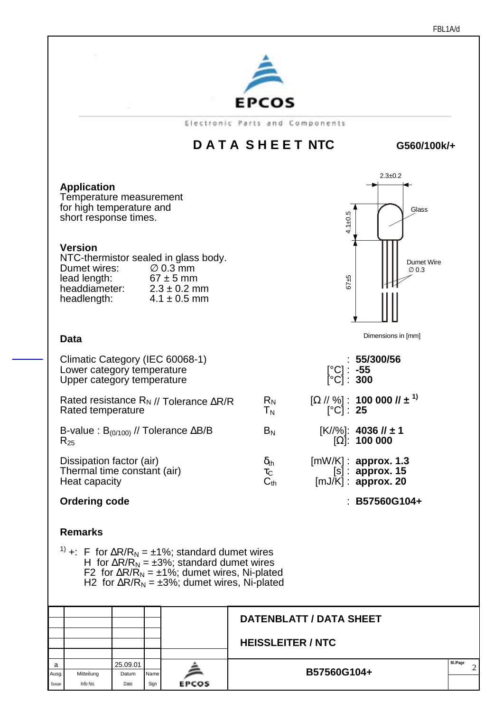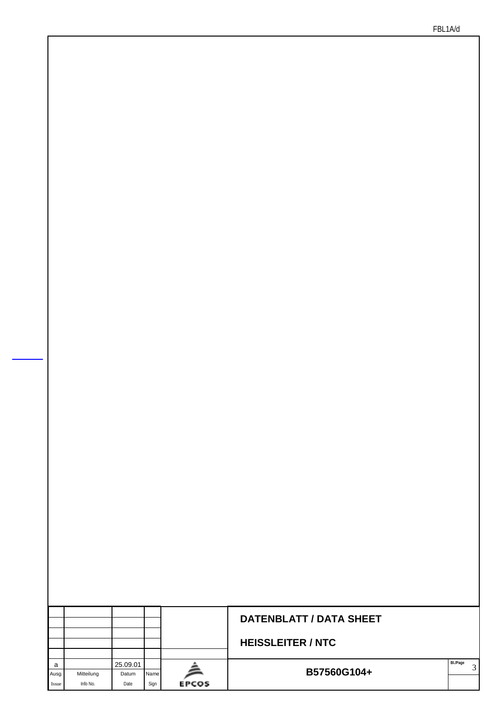|            |            |                   |      |              | <b>DATENBLATT / DATA SHEET</b> |          |  |
|------------|------------|-------------------|------|--------------|--------------------------------|----------|--|
|            |            |                   |      |              | <b>HEISSLEITER / NTC</b>       |          |  |
| a<br>Ausg. | Mitteilung | 25.09.01<br>Datum | Name |              | B57560G104+                    | BI./Page |  |
| Issue      | Info No.   | Date              | Sign | <b>EPCOS</b> |                                |          |  |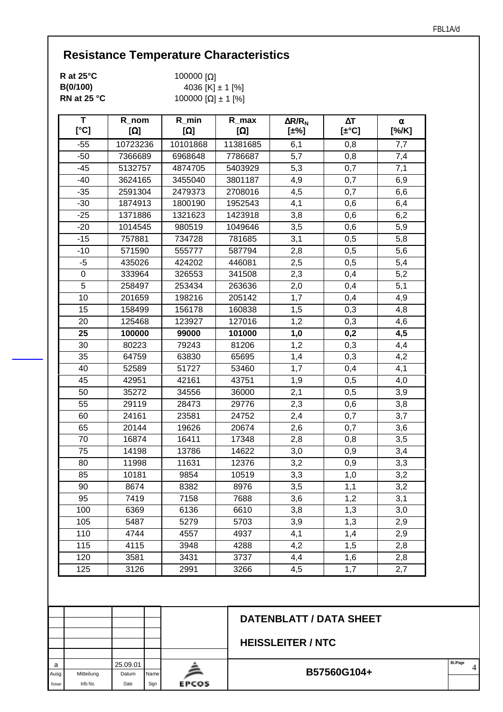| R at $25^{\circ}$ C | 100000 $\Omega$ ]    |
|---------------------|----------------------|
| B(0/100)            | 4036 [K] $\pm$ 1 [%] |
| RN at 25 °C         | 100000 [Ω] ± 1 [%]   |

a 25.09.01 Ausg. Mitteilung Datum Name Issue Info No. Date Sign

EPCOS

| T<br>[°C]      | R_nom<br>[ $\Omega$ ] | $R$ <sub>_</sub> min<br>$[\Omega]$ | $R_{max}$<br>$[\Omega]$ | $\Delta$ R/R <sub>N</sub><br>$[\pm\%]$ | $\Delta T$<br>$[\pm$ °C]       | α<br>[%/K] |
|----------------|-----------------------|------------------------------------|-------------------------|----------------------------------------|--------------------------------|------------|
| $-55$          | 10723236              | 10101868                           | 11381685                | 6,1                                    | 0,8                            | 7,7        |
| $-50$          | 7366689               | 6968648                            | 7786687                 | 5,7                                    | 0,8                            | 7,4        |
| $-45$          | 5132757               | 4874705                            | 5403929                 | 5,3                                    | 0,7                            | 7,1        |
| $-40$          | 3624165               | 3455040                            | 3801187                 | 4,9                                    | 0,7                            | 6,9        |
| $-35$          | 2591304               | 2479373                            | 2708016                 | 4,5                                    | 0,7                            | 6,6        |
| $-30$          | 1874913               | 1800190                            | 1952543                 | 4,1                                    | 0,6                            | 6,4        |
| $-25$          | 1371886               | 1321623                            | 1423918                 | 3,8                                    | 0,6                            | 6,2        |
| $-20$          | 1014545               | 980519                             | 1049646                 | 3,5                                    | 0,6                            | 5,9        |
| $-15$          | 757881                | 734728                             | 781685                  | 3,1                                    | 0,5                            | 5,8        |
| $-10$          | 571590                | 555777                             | 587794                  | 2,8                                    | 0,5                            | 5,6        |
| $-5$           | 435026                | 424202                             | 446081                  | 2,5                                    | 0,5                            | 5,4        |
| $\pmb{0}$      | 333964                | 326553                             | 341508                  | 2,3                                    | 0,4                            | 5,2        |
| $\overline{5}$ | 258497                | 253434                             | 263636                  | 2,0                                    | 0,4                            | 5,1        |
| 10             | 201659                | 198216                             | 205142                  | 1,7                                    | 0,4                            | 4,9        |
| 15             | 158499                | 156178                             | 160838                  | 1,5                                    | 0,3                            | 4,8        |
| 20             | 125468                | 123927                             | 127016                  | 1,2                                    | 0,3                            | 4,6        |
| 25             | 100000                | 99000                              | 101000                  | 1,0                                    | 0,2                            | 4,5        |
| 30             | 80223                 | 79243                              | 81206                   | 1,2                                    | 0,3                            | 4,4        |
| 35             | 64759                 | 63830                              | 65695                   | 1,4                                    | 0,3                            | 4,2        |
| 40             | 52589                 | 51727                              | 53460                   | 1,7                                    | 0,4                            | 4,1        |
| 45             | 42951                 | 42161                              | 43751                   | 1,9                                    | 0,5                            | 4,0        |
| 50             | 35272                 | 34556                              | 36000                   | 2,1                                    | 0,5                            | 3,9        |
| 55             | 29119                 | 28473                              | 29776                   | 2,3                                    | 0,6                            | 3,8        |
| 60             | 24161                 | 23581                              | 24752                   | 2,4                                    | 0,7                            | 3,7        |
| 65             | 20144                 | 19626                              | 20674                   | 2,6                                    | 0,7                            | 3,6        |
| 70             | 16874                 | 16411                              | 17348                   | 2,8                                    | 0,8                            | 3,5        |
| 75             | 14198                 | 13786                              | 14622                   | 3,0                                    | 0,9                            | 3,4        |
| 80             | 11998                 | 11631                              | 12376                   | 3,2                                    | 0,9                            | 3,3        |
| 85             | 10181                 | 9854                               | 10519                   | 3,3                                    | 1,0                            | 3,2        |
| 90             | 8674                  | 8382                               | 8976                    | 3,5                                    | 1,1                            | 3,2        |
| 95             | 7419                  | 7158                               | 7688                    | 3,6                                    | 1,2                            | 3,1        |
| 100            | 6369                  | 6136                               | 6610                    | 3,8                                    | 1,3                            | 3,0        |
| 105            | 5487                  | 5279                               | 5703                    | 3,9                                    | 1,3                            | 2,9        |
| 110            | 4744                  | 4557                               | 4937                    | 4,1                                    | 1,4                            | 2,9        |
| 115            | 4115                  | 3948                               | 4288                    | 4,2                                    | 1,5                            | 2,8        |
| 120            | 3581                  | 3431                               | 3737                    | 4,4                                    | 1,6                            | 2,8        |
| 125            | 3126                  | 2991                               | 3266                    | 4,5                                    | 1,7                            | 2,7        |
|                |                       |                                    |                         |                                        | <b>DATENBLATT / DATA SHEET</b> |            |
|                |                       |                                    |                         |                                        |                                |            |

**B57560G104+**  $\begin{array}{|c|c|c|c|}\n\hline\n\text{B} & 4\n\end{array}$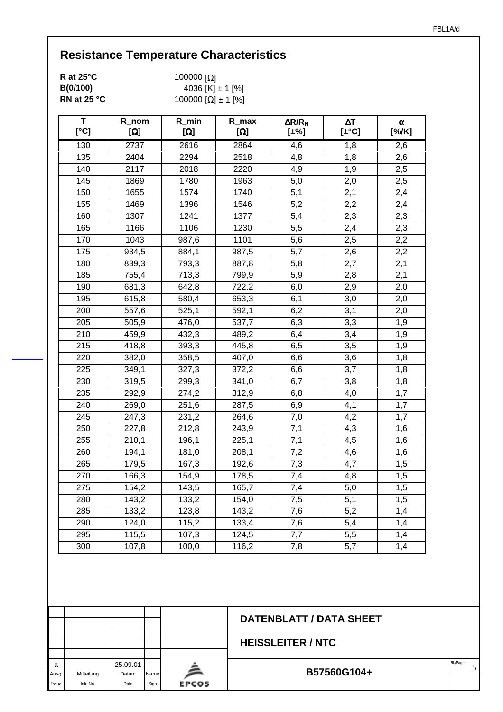| R at $25^{\circ}$ C   | 100000 $\Omega$ ]    |
|-----------------------|----------------------|
| B(0/100)              | 4036 [K] $\pm$ 1 [%] |
| RN at 25 $^{\circ}$ C | 100000 [Ω] ± 1 [%]   |

| Τ<br>[°C]        | R_nom<br>$[\Omega]$ | $R_{min}$<br>$[\Omega]$ | $R_{max}$<br>$[\Omega]$ | $\Delta$ R/R <sub>N</sub><br>$[\pm\%]$ | $\Delta T$<br>$[\pm$ °C] | α<br>[%K] |
|------------------|---------------------|-------------------------|-------------------------|----------------------------------------|--------------------------|-----------|
| 130              | 2737                | 2616                    | 2864                    | 4,6                                    | 1,8                      | 2,6       |
| $\overline{1}35$ | 2404                | 2294                    | 2518                    | 4,8                                    | 1,8                      | 2,6       |
| 140              | 2117                | 2018                    | 2220                    | 4,9                                    | 1,9                      | 2,5       |
| 145              | 1869                | 1780                    | 1963                    | 5,0                                    | 2,0                      | 2,5       |
| 150              | 1655                | 1574                    | 1740                    | 5,1                                    | 2,1                      | 2,4       |
| 155              | 1469                | 1396                    | 1546                    | 5,2                                    | 2,2                      | 2,4       |
| 160              | 1307                | 1241                    | 1377                    | 5,4                                    | 2,3                      | 2,3       |
| 165              | 1166                | 1106                    | 1230                    | 5,5                                    | 2,4                      | 2,3       |
| 170              | 1043                | 987,6                   | 1101                    | 5,6                                    | 2,5                      | 2,2       |
| 175              | 934,5               | 884,1                   | 987,5                   | 5,7                                    | 2,6                      | 2,2       |
| 180              | 839,3               | 793,3                   | 887,8                   | 5,8                                    | 2,7                      | 2,1       |
| 185              | 755,4               | 713,3                   | 799,9                   | 5,9                                    | 2,8                      | 2,1       |
| 190              | 681,3               | 642,8                   | 722,2                   | 6,0                                    | 2,9                      | 2,0       |
| 195              | 615,8               | 580,4                   | 653,3                   | 6,1                                    | 3,0                      | 2,0       |
| 200              | 557,6               | 525,1                   | 592,1                   | 6,2                                    | 3,1                      | 2,0       |
| 205              | 505,9               | 476,0                   | 537,7                   | 6,3                                    | 3,3                      | 1,9       |
| 210              | 459,9               | 432,3                   | 489,2                   | 6,4                                    | 3,4                      | 1,9       |
| $\overline{215}$ | 418,8               | 393,3                   | 445,8                   | 6,5                                    | 3,5                      | 1,9       |
| 220              | 382,0               | 358,5                   | 407,0                   | 6,6                                    | 3,6                      | 1,8       |
| 225              | 349,1               | 327,3                   | 372,2                   | 6,6                                    | 3,7                      | 1,8       |
| 230              | 319,5               | 299,3                   | 341,0                   | 6,7                                    | 3,8                      | 1,8       |
| 235              | 292,9               | 274,2                   | 312,9                   | 6,8                                    | 4,0                      | 1,7       |
| 240              | 269,0               | 251,6                   | 287,5                   | 6,9                                    | 4,1                      | 1,7       |
| 245              | 247,3               | 231,2                   | 264,6                   | 7,0                                    | 4,2                      | 1,7       |
| 250              | 227,8               | 212,8                   | 243,9                   | 7,1                                    | 4,3                      | 1,6       |
| $\overline{255}$ | 210,1               | 196,1                   | 225,1                   | 7,1                                    | 4,5                      | 1,6       |
| 260              | 194,1               | 181,0                   | 208,1                   | 7,2                                    | 4,6                      | 1,6       |
| 265              | 179,5               | 167,3                   | 192,6                   | 7,3                                    | 4,7                      | 1,5       |
| 270              | 166,3               | 154,9                   | 178,5                   | 7,4                                    | 4,8                      | 1,5       |
| 275              | 154,2               | 143,5                   | 165,7                   | 7,4                                    | 5,0                      | 1,5       |
| 280              | 143,2               | 133,2                   | 154,0                   | 7,5                                    | $\overline{5,1}$         | 1,5       |
| 285              | 133,2               | 123,8                   | 143,2                   | 7,6                                    | 5,2                      | 1,4       |
| 290              | 124,0               | 115,2                   | 133,4                   | 7,6                                    | 5,4                      | 1,4       |
| 295              | 115,5               | 107,3                   | 124,5                   | 7,7                                    | 5,5                      | 1,4       |
| 300              | 107,8               | 100,0                   | 116,2                   | 7,8                                    | 5,7                      | 1,4       |

|       |            |          |      |              | <b>DATENBLATT / DATA SHEET</b> |          |  |
|-------|------------|----------|------|--------------|--------------------------------|----------|--|
|       |            |          |      |              |                                |          |  |
|       |            |          |      |              | <b>HEISSLEITER / NTC</b>       |          |  |
|       |            |          |      |              |                                |          |  |
| a     |            | 25.09.01 |      |              |                                | Bl./Page |  |
| Ausg. | Mitteilung | Datum    | Name |              | B57560G104+                    |          |  |
| Issue | Info No.   | Date     | Sign | <b>EPCOS</b> |                                |          |  |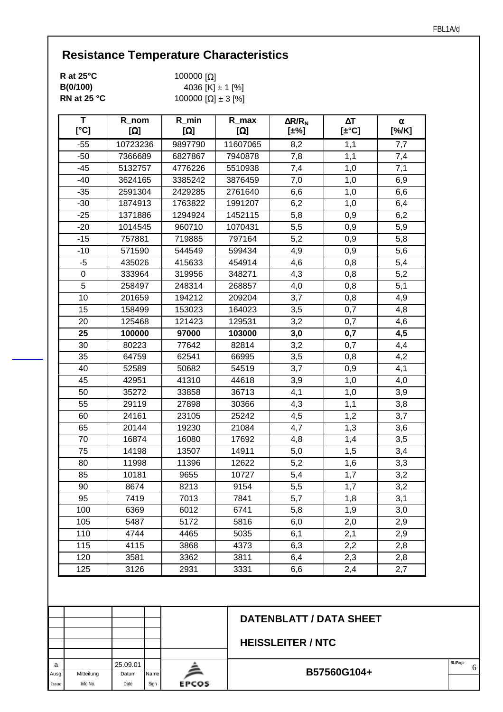| R at $25^{\circ}$ C | 100000 $\Omega$ ]    |
|---------------------|----------------------|
| B(0/100)            | 4036 [K] $\pm$ 1 [%] |
| RN at 25 °C         | 100000 [Ω] ± 3 [%]   |

a 25.09.01 Ausg. Mitteilung Datum Name Issue Info No. Date Sign

EPCOS

| T<br>[°C] | R_nom<br>$[\Omega]$ | $R_{min}$<br>$[\Omega]$ | $R_{max}$<br>$[\Omega]$ | $\Delta$ R/R <sub>N</sub><br>[±%] | $\Delta T$<br>$[\pm$ °C] | α<br>[%/K] |
|-----------|---------------------|-------------------------|-------------------------|-----------------------------------|--------------------------|------------|
| $-55$     | 10723236            | 9897790                 | 11607065                | 8,2                               | 1,1                      | 7,7        |
| $-50$     | 7366689             | 6827867                 | 7940878                 | 7,8                               | 1,1                      | 7,4        |
| $-45$     | 5132757             | 4776226                 | 5510938                 | 7,4                               | 1,0                      | 7,1        |
| $-40$     | 3624165             | 3385242                 | 3876459                 | 7,0                               | 1,0                      | 6,9        |
| $-35$     | 2591304             | 2429285                 | 2761640                 | 6,6                               | 1,0                      | 6,6        |
| $-30$     | 1874913             | 1763822                 | 1991207                 | 6,2                               | 1,0                      | 6,4        |
| $-25$     | 1371886             | 1294924                 | 1452115                 | 5,8                               | 0,9                      | 6,2        |
| $-20$     | 1014545             | 960710                  | 1070431                 | 5,5                               | 0,9                      | 5,9        |
| $-15$     | 757881              | 719885                  | 797164                  | 5,2                               | 0,9                      | 5,8        |
| $-10$     | 571590              | 544549                  | 599434                  | 4,9                               | 0,9                      | 5,6        |
| $-5$      | 435026              | 415633                  | 454914                  | 4,6                               | 0,8                      | 5,4        |
| 0         | 333964              | 319956                  | 348271                  | 4,3                               | 0,8                      | 5,2        |
| 5         | 258497              | 248314                  | 268857                  | 4,0                               | 0,8                      | 5,1        |
| 10        | 201659              | 194212                  | 209204                  | 3,7                               | 0,8                      | 4,9        |
| 15        | 158499              | 153023                  | 164023                  | 3,5                               | 0,7                      | 4,8        |
| 20        | 125468              | 121423                  | 129531                  | 3,2                               | 0,7                      | 4,6        |
| 25        | 100000              | 97000                   | 103000                  | 3,0                               | 0,7                      | 4,5        |
| 30        | 80223               | 77642                   | 82814                   | 3,2                               | 0,7                      | 4,4        |
| 35        | 64759               | 62541                   | 66995                   | 3,5                               | 0,8                      | 4,2        |
| 40        | 52589               | 50682                   | 54519                   | 3,7                               | 0,9                      | 4,1        |
| 45        | 42951               | 41310                   | 44618                   | 3,9                               | 1,0                      | 4,0        |
| 50        | 35272               | 33858                   | 36713                   | 4,1                               | 1,0                      | 3,9        |
| 55        | 29119               | 27898                   | 30366                   | 4,3                               | 1,1                      | 3,8        |
| 60        | 24161               | 23105                   | 25242                   | 4,5                               | 1,2                      | 3,7        |
| 65        | 20144               | 19230                   | 21084                   | 4,7                               | 1,3                      | 3,6        |
| 70        | 16874               | 16080                   | 17692                   | 4,8                               | 1,4                      | 3,5        |
| 75        | 14198               | 13507                   | 14911                   | 5,0                               | 1,5                      | 3,4        |
| 80        | 11998               | 11396                   | 12622                   | 5,2                               | 1,6                      | 3,3        |
| 85        | 10181               | 9655                    | 10727                   | 5,4                               | 1,7                      | 3,2        |
| 90        | 8674                | 8213                    | 9154                    | 5,5                               | 1,7                      | 3,2        |
| 95        | 7419                | 7013                    | 7841                    | 5,7                               | 1,8                      | 3,1        |
| 100       | 6369                | 6012                    | 6741                    | 5,8                               | 1,9                      | 3,0        |
| 105       | 5487                | 5172                    | 5816                    | 6,0                               | 2,0                      | 2,9        |
| 110       | 4744                | 4465                    | 5035                    | 6,1                               | 2,1                      | 2,9        |
| 115       | 4115                | 3868                    | 4373                    | 6,3                               | 2,2                      | 2,8        |
| 120       | 3581                | 3362                    | 3811                    | 6,4                               | 2,3                      | 2,8        |
| 125       | 3126                | 2931                    | 3331                    | 6,6                               | 2,4                      | 2,7        |
|           |                     |                         |                         |                                   |                          |            |
|           |                     |                         |                         |                                   | DATENBLATT / DATA SHEET  |            |

| B57560G104+ | BI./Page |  |
|-------------|----------|--|
|             |          |  |